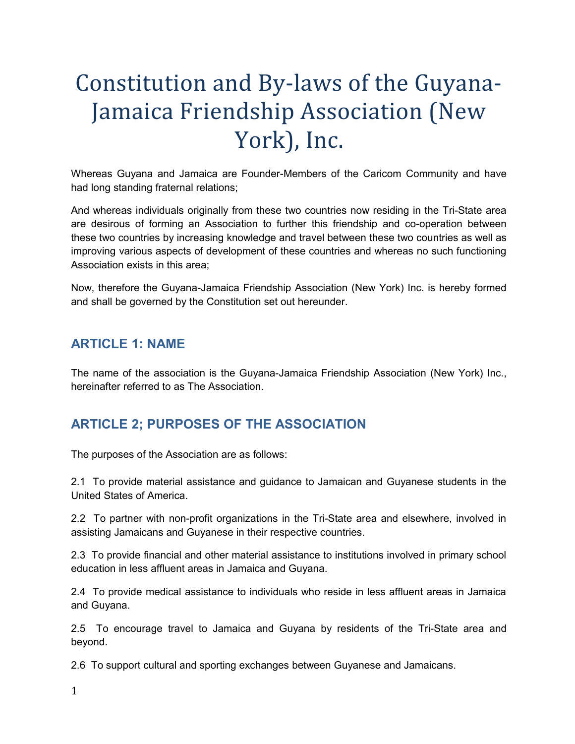# Constitution and By-laws of the Guyana-Jamaica Friendship Association (New York), Inc.

Whereas Guyana and Jamaica are Founder-Members of the Caricom Community and have had long standing fraternal relations;

And whereas individuals originally from these two countries now residing in the Tri-State area are desirous of forming an Association to further this friendship and co-operation between these two countries by increasing knowledge and travel between these two countries as well as improving various aspects of development of these countries and whereas no such functioning Association exists in this area;

Now, therefore the Guyana-Jamaica Friendship Association (New York) Inc. is hereby formed and shall be governed by the Constitution set out hereunder.

## **ARTICLE 1: NAME**

The name of the association is the Guyana-Jamaica Friendship Association (New York) Inc., hereinafter referred to as The Association.

# **ARTICLE 2; PURPOSES OF THE ASSOCIATION**

The purposes of the Association are as follows:

2.1 To provide material assistance and guidance to Jamaican and Guyanese students in the United States of America.

2.2 To partner with non-profit organizations in the Tri-State area and elsewhere, involved in assisting Jamaicans and Guyanese in their respective countries.

2.3 To provide financial and other material assistance to institutions involved in primary school education in less affluent areas in Jamaica and Guyana.

2.4 To provide medical assistance to individuals who reside in less affluent areas in Jamaica and Guyana.

2.5 To encourage travel to Jamaica and Guyana by residents of the Tri-State area and beyond.

2.6 To support cultural and sporting exchanges between Guyanese and Jamaicans.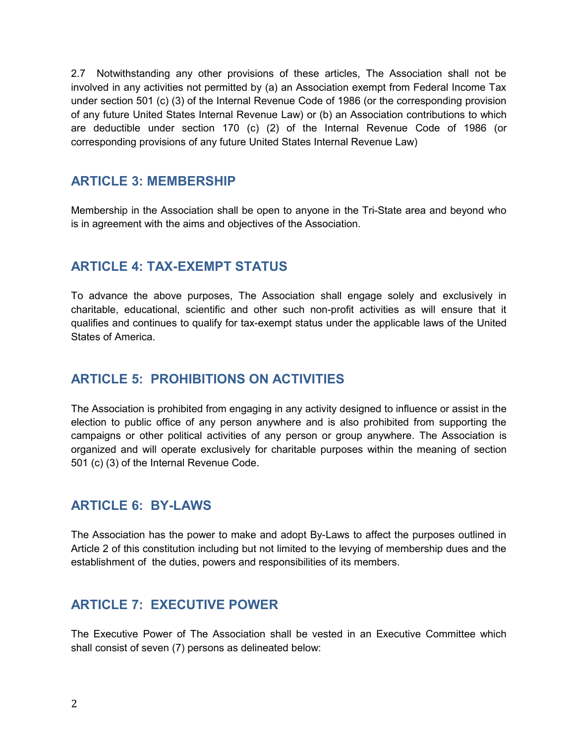2.7 Notwithstanding any other provisions of these articles, The Association shall not be involved in any activities not permitted by (a) an Association exempt from Federal Income Tax under section 501 (c) (3) of the Internal Revenue Code of 1986 (or the corresponding provision of any future United States Internal Revenue Law) or (b) an Association contributions to which are deductible under section 170 (c) (2) of the Internal Revenue Code of 1986 (or corresponding provisions of any future United States Internal Revenue Law)

### **ARTICLE 3: MEMBERSHIP**

Membership in the Association shall be open to anyone in the Tri-State area and beyond who is in agreement with the aims and objectives of the Association.

## **ARTICLE 4: TAX-EXEMPT STATUS**

To advance the above purposes, The Association shall engage solely and exclusively in charitable, educational, scientific and other such non-profit activities as will ensure that it qualifies and continues to qualify for tax-exempt status under the applicable laws of the United States of America.

## **ARTICLE 5: PROHIBITIONS ON ACTIVITIES**

The Association is prohibited from engaging in any activity designed to influence or assist in the election to public office of any person anywhere and is also prohibited from supporting the campaigns or other political activities of any person or group anywhere. The Association is organized and will operate exclusively for charitable purposes within the meaning of section 501 (c) (3) of the Internal Revenue Code.

### **ARTICLE 6: BY-LAWS**

The Association has the power to make and adopt By-Laws to affect the purposes outlined in Article 2 of this constitution including but not limited to the levying of membership dues and the establishment of the duties, powers and responsibilities of its members.

### **ARTICLE 7: EXECUTIVE POWER**

The Executive Power of The Association shall be vested in an Executive Committee which shall consist of seven (7) persons as delineated below: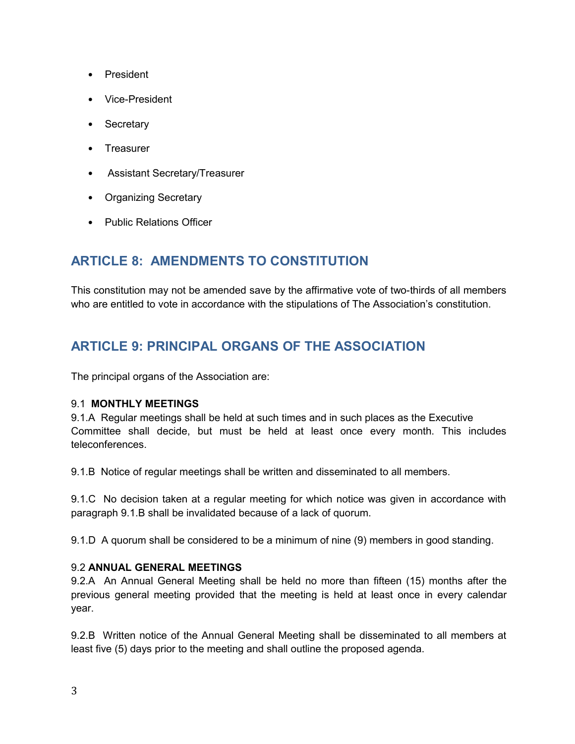- President
- Vice-President
- Secretary
- Treasurer
- Assistant Secretary/Treasurer
- Organizing Secretary
- Public Relations Officer

## **ARTICLE 8: AMENDMENTS TO CONSTITUTION**

This constitution may not be amended save by the affirmative vote of two-thirds of all members who are entitled to vote in accordance with the stipulations of The Association's constitution.

## **ARTICLE 9: PRINCIPAL ORGANS OF THE ASSOCIATION**

The principal organs of the Association are:

#### 9.1 **MONTHLY MEETINGS**

9.1.A Regular meetings shall be held at such times and in such places as the Executive Committee shall decide, but must be held at least once every month. This includes teleconferences.

9.1.B Notice of regular meetings shall be written and disseminated to all members.

9.1.C No decision taken at a regular meeting for which notice was given in accordance with paragraph 9.1.B shall be invalidated because of a lack of quorum.

9.1.D A quorum shall be considered to be a minimum of nine (9) members in good standing.

#### 9.2 **ANNUAL GENERAL MEETINGS**

9.2.A An Annual General Meeting shall be held no more than fifteen (15) months after the previous general meeting provided that the meeting is held at least once in every calendar year.

9.2.B Written notice of the Annual General Meeting shall be disseminated to all members at least five (5) days prior to the meeting and shall outline the proposed agenda.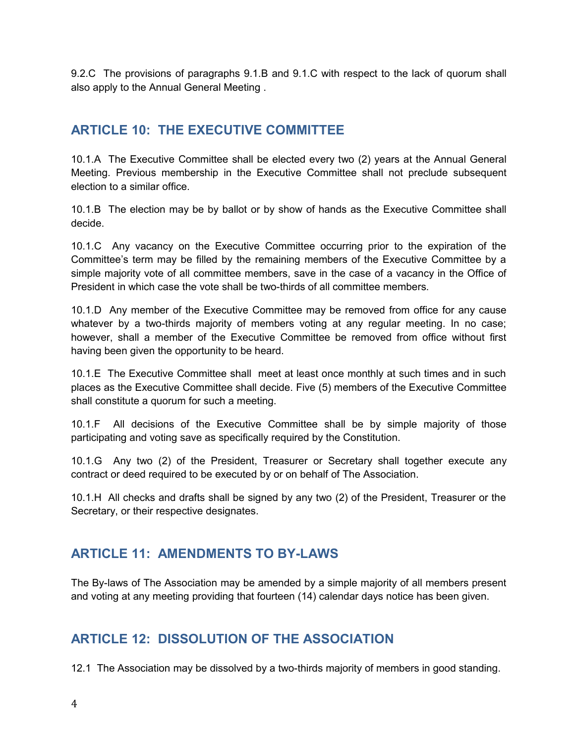9.2.C The provisions of paragraphs 9.1.B and 9.1.C with respect to the lack of quorum shall also apply to the Annual General Meeting .

## **ARTICLE 10: THE EXECUTIVE COMMITTEE**

10.1.A The Executive Committee shall be elected every two (2) years at the Annual General Meeting. Previous membership in the Executive Committee shall not preclude subsequent election to a similar office.

10.1.B The election may be by ballot or by show of hands as the Executive Committee shall decide.

10.1.C Any vacancy on the Executive Committee occurring prior to the expiration of the Committee's term may be filled by the remaining members of the Executive Committee by a simple majority vote of all committee members, save in the case of a vacancy in the Office of President in which case the vote shall be two-thirds of all committee members.

10.1.D Any member of the Executive Committee may be removed from office for any cause whatever by a two-thirds majority of members voting at any regular meeting. In no case; however, shall a member of the Executive Committee be removed from office without first having been given the opportunity to be heard.

10.1.E The Executive Committee shall meet at least once monthly at such times and in such places as the Executive Committee shall decide. Five (5) members of the Executive Committee shall constitute a quorum for such a meeting.

10.1.F All decisions of the Executive Committee shall be by simple majority of those participating and voting save as specifically required by the Constitution.

10.1.G Any two (2) of the President, Treasurer or Secretary shall together execute any contract or deed required to be executed by or on behalf of The Association.

10.1.H All checks and drafts shall be signed by any two (2) of the President, Treasurer or the Secretary, or their respective designates.

# **ARTICLE 11: AMENDMENTS TO BY-LAWS**

The By-laws of The Association may be amended by a simple majority of all members present and voting at any meeting providing that fourteen (14) calendar days notice has been given.

# **ARTICLE 12: DISSOLUTION OF THE ASSOCIATION**

12.1 The Association may be dissolved by a two-thirds majority of members in good standing.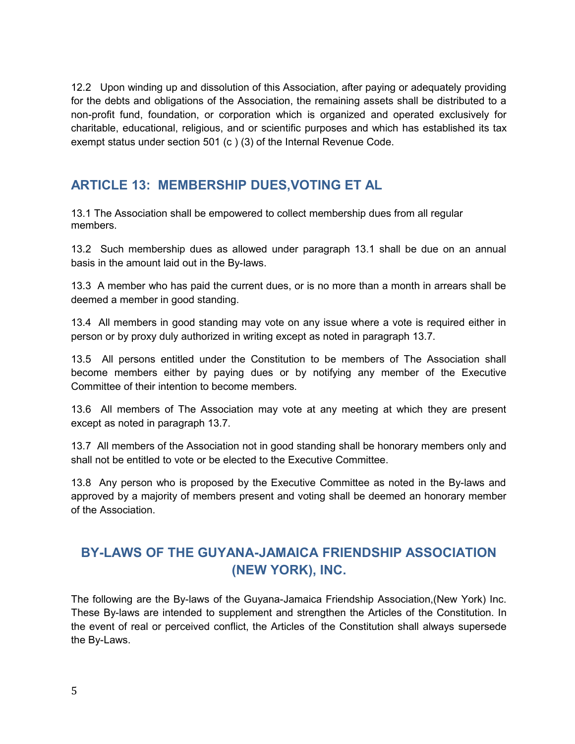12.2 Upon winding up and dissolution of this Association, after paying or adequately providing for the debts and obligations of the Association, the remaining assets shall be distributed to a non-profit fund, foundation, or corporation which is organized and operated exclusively for charitable, educational, religious, and or scientific purposes and which has established its tax exempt status under section 501 (c ) (3) of the Internal Revenue Code.

## **ARTICLE 13: MEMBERSHIP DUES,VOTING ET AL**

13.1 The Association shall be empowered to collect membership dues from all regular members.

13.2 Such membership dues as allowed under paragraph 13.1 shall be due on an annual basis in the amount laid out in the By-laws.

13.3 A member who has paid the current dues, or is no more than a month in arrears shall be deemed a member in good standing.

13.4 All members in good standing may vote on any issue where a vote is required either in person or by proxy duly authorized in writing except as noted in paragraph 13.7.

13.5 All persons entitled under the Constitution to be members of The Association shall become members either by paying dues or by notifying any member of the Executive Committee of their intention to become members.

13.6 All members of The Association may vote at any meeting at which they are present except as noted in paragraph 13.7.

13.7 All members of the Association not in good standing shall be honorary members only and shall not be entitled to vote or be elected to the Executive Committee.

13.8 Any person who is proposed by the Executive Committee as noted in the By-laws and approved by a majority of members present and voting shall be deemed an honorary member of the Association.

# **BY-LAWS OF THE GUYANA-JAMAICA FRIENDSHIP ASSOCIATION (NEW YORK), INC.**

The following are the By-laws of the Guyana-Jamaica Friendship Association,(New York) Inc. These By-laws are intended to supplement and strengthen the Articles of the Constitution. In the event of real or perceived conflict, the Articles of the Constitution shall always supersede the By-Laws.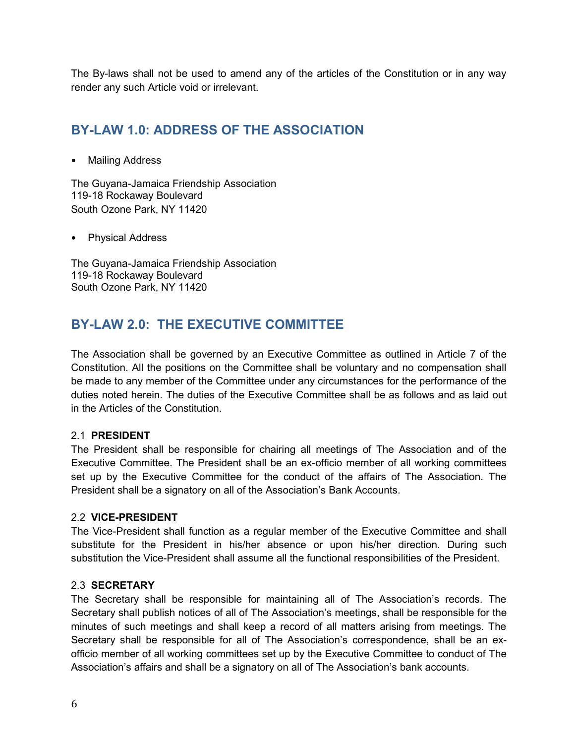The By-laws shall not be used to amend any of the articles of the Constitution or in any way render any such Article void or irrelevant.

# **BY-LAW 1.0: ADDRESS OF THE ASSOCIATION**

• Mailing Address

The Guyana-Jamaica Friendship Association 119-18 Rockaway Boulevard South Ozone Park, NY 11420

• Physical Address

The Guyana-Jamaica Friendship Association 119-18 Rockaway Boulevard South Ozone Park, NY 11420

# **BY-LAW 2.0: THE EXECUTIVE COMMITTEE**

The Association shall be governed by an Executive Committee as outlined in Article 7 of the Constitution. All the positions on the Committee shall be voluntary and no compensation shall be made to any member of the Committee under any circumstances for the performance of the duties noted herein. The duties of the Executive Committee shall be as follows and as laid out in the Articles of the Constitution.

#### 2.1 **PRESIDENT**

The President shall be responsible for chairing all meetings of The Association and of the Executive Committee. The President shall be an ex-officio member of all working committees set up by the Executive Committee for the conduct of the affairs of The Association. The President shall be a signatory on all of the Association's Bank Accounts.

#### 2.2 **VICE-PRESIDENT**

The Vice-President shall function as a regular member of the Executive Committee and shall substitute for the President in his/her absence or upon his/her direction. During such substitution the Vice-President shall assume all the functional responsibilities of the President.

#### 2.3 **SECRETARY**

The Secretary shall be responsible for maintaining all of The Association's records. The Secretary shall publish notices of all of The Association's meetings, shall be responsible for the minutes of such meetings and shall keep a record of all matters arising from meetings. The Secretary shall be responsible for all of The Association's correspondence, shall be an exofficio member of all working committees set up by the Executive Committee to conduct of The Association's affairs and shall be a signatory on all of The Association's bank accounts.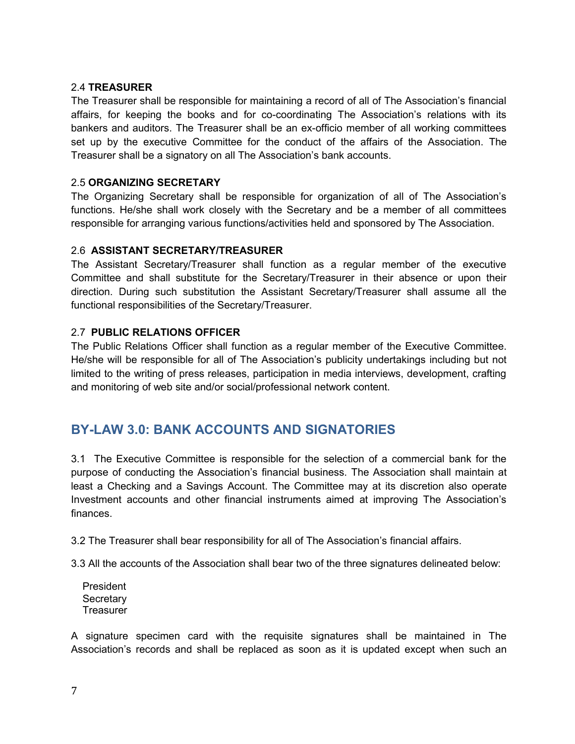#### 2.4 **TREASURER**

The Treasurer shall be responsible for maintaining a record of all of The Association's financial affairs, for keeping the books and for co-coordinating The Association's relations with its bankers and auditors. The Treasurer shall be an ex-officio member of all working committees set up by the executive Committee for the conduct of the affairs of the Association. The Treasurer shall be a signatory on all The Association's bank accounts.

#### 2.5 **ORGANIZING SECRETARY**

The Organizing Secretary shall be responsible for organization of all of The Association's functions. He/she shall work closely with the Secretary and be a member of all committees responsible for arranging various functions/activities held and sponsored by The Association.

#### 2.6 **ASSISTANT SECRETARY/TREASURER**

The Assistant Secretary/Treasurer shall function as a regular member of the executive Committee and shall substitute for the Secretary/Treasurer in their absence or upon their direction. During such substitution the Assistant Secretary/Treasurer shall assume all the functional responsibilities of the Secretary/Treasurer.

#### 2.7 **PUBLIC RELATIONS OFFICER**

The Public Relations Officer shall function as a regular member of the Executive Committee. He/she will be responsible for all of The Association's publicity undertakings including but not limited to the writing of press releases, participation in media interviews, development, crafting and monitoring of web site and/or social/professional network content.

## **BY-LAW 3.0: BANK ACCOUNTS AND SIGNATORIES**

3.1 The Executive Committee is responsible for the selection of a commercial bank for the purpose of conducting the Association's financial business. The Association shall maintain at least a Checking and a Savings Account. The Committee may at its discretion also operate Investment accounts and other financial instruments aimed at improving The Association's finances.

3.2 The Treasurer shall bear responsibility for all of The Association's financial affairs.

3.3 All the accounts of the Association shall bear two of the three signatures delineated below:

 President **Secretary Treasurer** 

A signature specimen card with the requisite signatures shall be maintained in The Association's records and shall be replaced as soon as it is updated except when such an